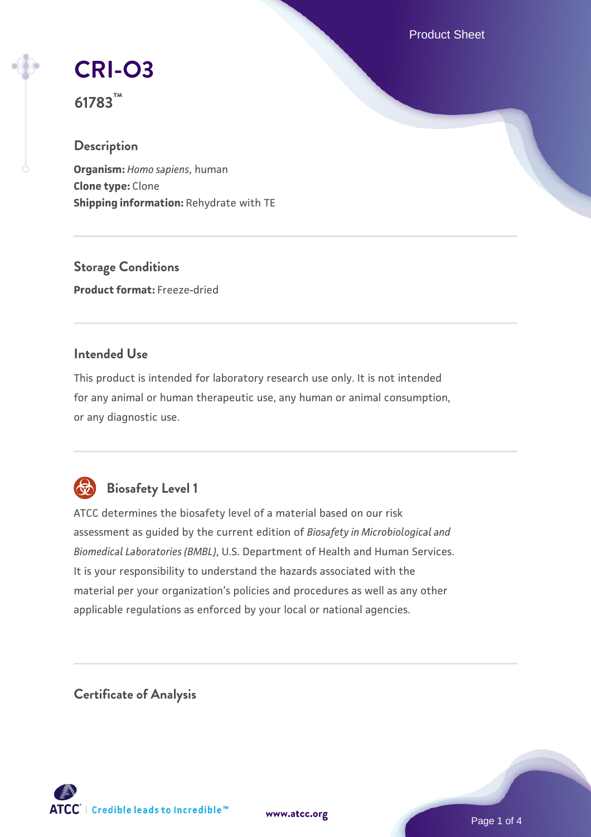Product Sheet

# **[CRI-O3](https://www.atcc.org/products/61783)**

**61783™**

## **Description**

**Organism:** *Homo sapiens*, human **Clone type:** Clone **Shipping information:** Rehydrate with TE

**Storage Conditions Product format:** Freeze-dried

## **Intended Use**

This product is intended for laboratory research use only. It is not intended for any animal or human therapeutic use, any human or animal consumption, or any diagnostic use.



## **Biosafety Level 1**

ATCC determines the biosafety level of a material based on our risk assessment as guided by the current edition of *Biosafety in Microbiological and Biomedical Laboratories (BMBL)*, U.S. Department of Health and Human Services. It is your responsibility to understand the hazards associated with the material per your organization's policies and procedures as well as any other applicable regulations as enforced by your local or national agencies.

**Certificate of Analysis**

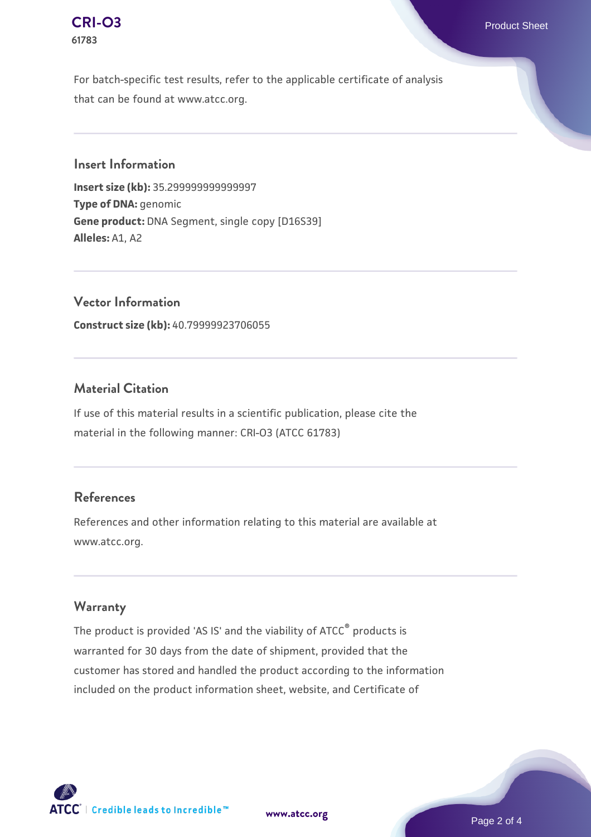#### **[CRI-O3](https://www.atcc.org/products/61783)** Product Sheet **61783**

For batch-specific test results, refer to the applicable certificate of analysis that can be found at www.atcc.org.

#### **Insert Information**

**Insert size (kb):** 35.299999999999997 **Type of DNA:** genomic **Gene product:** DNA Segment, single copy [D16S39] **Alleles:** A1, A2

**Vector Information Construct size (kb):** 40.79999923706055

## **Material Citation**

If use of this material results in a scientific publication, please cite the material in the following manner: CRI-O3 (ATCC 61783)

## **References**

References and other information relating to this material are available at www.atcc.org.

## **Warranty**

The product is provided 'AS IS' and the viability of ATCC® products is warranted for 30 days from the date of shipment, provided that the customer has stored and handled the product according to the information included on the product information sheet, website, and Certificate of



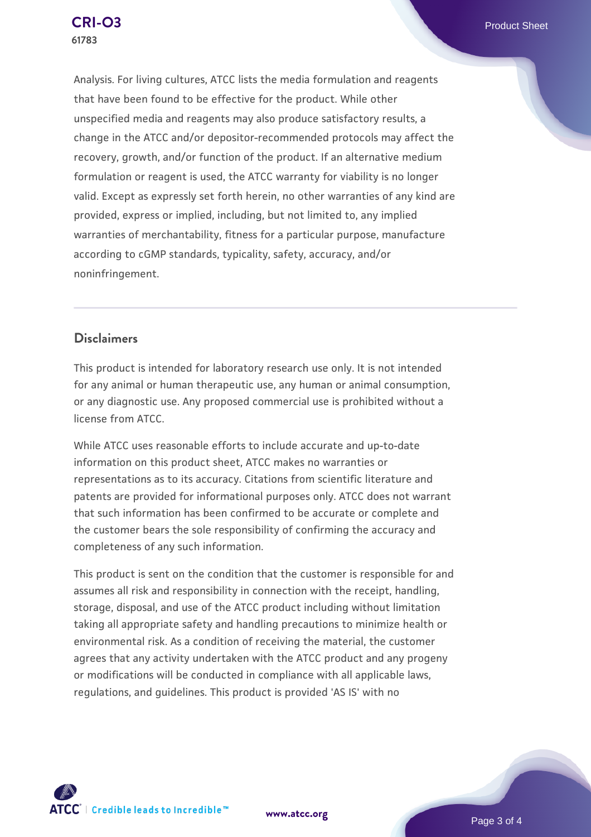Analysis. For living cultures, ATCC lists the media formulation and reagents that have been found to be effective for the product. While other unspecified media and reagents may also produce satisfactory results, a change in the ATCC and/or depositor-recommended protocols may affect the recovery, growth, and/or function of the product. If an alternative medium formulation or reagent is used, the ATCC warranty for viability is no longer valid. Except as expressly set forth herein, no other warranties of any kind are provided, express or implied, including, but not limited to, any implied warranties of merchantability, fitness for a particular purpose, manufacture according to cGMP standards, typicality, safety, accuracy, and/or noninfringement.

## **Disclaimers**

This product is intended for laboratory research use only. It is not intended for any animal or human therapeutic use, any human or animal consumption, or any diagnostic use. Any proposed commercial use is prohibited without a license from ATCC.

While ATCC uses reasonable efforts to include accurate and up-to-date information on this product sheet, ATCC makes no warranties or representations as to its accuracy. Citations from scientific literature and patents are provided for informational purposes only. ATCC does not warrant that such information has been confirmed to be accurate or complete and the customer bears the sole responsibility of confirming the accuracy and completeness of any such information.

This product is sent on the condition that the customer is responsible for and assumes all risk and responsibility in connection with the receipt, handling, storage, disposal, and use of the ATCC product including without limitation taking all appropriate safety and handling precautions to minimize health or environmental risk. As a condition of receiving the material, the customer agrees that any activity undertaken with the ATCC product and any progeny or modifications will be conducted in compliance with all applicable laws, regulations, and guidelines. This product is provided 'AS IS' with no